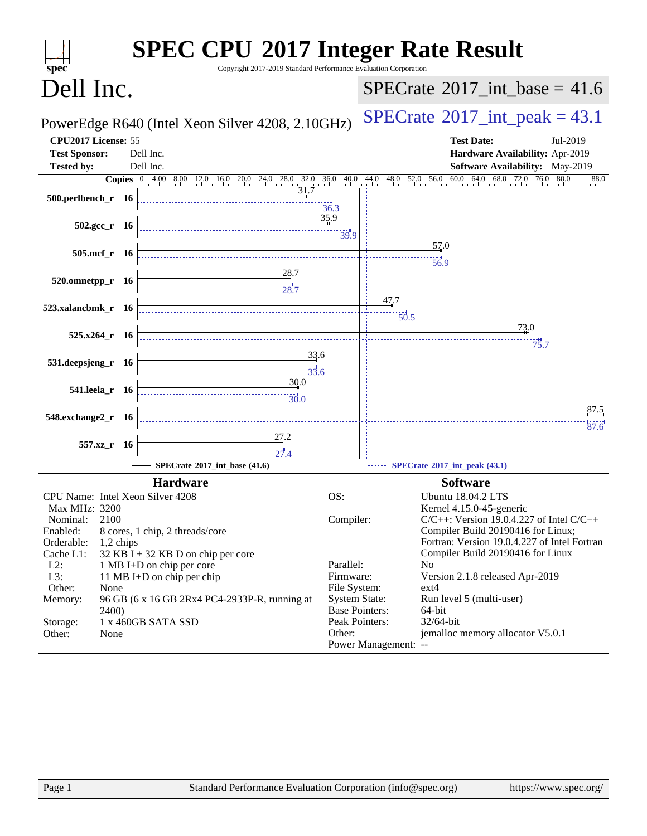| $s\overline{p}\overline{e}\overline{c}$                                                                                                                                                                                                                                                                                                                                                                                                                         | <b>SPEC CPU®2017 Integer Rate Result</b><br>Copyright 2017-2019 Standard Performance Evaluation Corporation                  |
|-----------------------------------------------------------------------------------------------------------------------------------------------------------------------------------------------------------------------------------------------------------------------------------------------------------------------------------------------------------------------------------------------------------------------------------------------------------------|------------------------------------------------------------------------------------------------------------------------------|
| Dell Inc.                                                                                                                                                                                                                                                                                                                                                                                                                                                       | $SPECTate^{\circ}2017\_int\_base = 41.6$                                                                                     |
| PowerEdge R640 (Intel Xeon Silver 4208, 2.10GHz)                                                                                                                                                                                                                                                                                                                                                                                                                | $SPECTate^{\circ}2017$ _int_peak = 43.1                                                                                      |
| CPU2017 License: 55                                                                                                                                                                                                                                                                                                                                                                                                                                             | <b>Test Date:</b><br>Jul-2019                                                                                                |
| <b>Test Sponsor:</b><br>Dell Inc.                                                                                                                                                                                                                                                                                                                                                                                                                               | Hardware Availability: Apr-2019                                                                                              |
| Dell Inc.<br><b>Tested by:</b>                                                                                                                                                                                                                                                                                                                                                                                                                                  | Software Availability: May-2019                                                                                              |
| 31.7                                                                                                                                                                                                                                                                                                                                                                                                                                                            | Copies 0 4.00 8.00 12.0 16.0 20.0 24.0 28.0 32.0 36.0 40.0 44.0 48.0 52.0 56.0 60.0 64.0 68.0 72.0 76.0 80.0<br>88.0<br>36.3 |
|                                                                                                                                                                                                                                                                                                                                                                                                                                                                 | 35.9<br>39.9                                                                                                                 |
| 505.mcf_r $16$                                                                                                                                                                                                                                                                                                                                                                                                                                                  | 57.0                                                                                                                         |
|                                                                                                                                                                                                                                                                                                                                                                                                                                                                 | 56.9                                                                                                                         |
| 28.7<br>$520.0$ mnetpp_r 16                                                                                                                                                                                                                                                                                                                                                                                                                                     |                                                                                                                              |
|                                                                                                                                                                                                                                                                                                                                                                                                                                                                 | 47.7                                                                                                                         |
| 523.xalancbmk_r $16$                                                                                                                                                                                                                                                                                                                                                                                                                                            | 50.5                                                                                                                         |
|                                                                                                                                                                                                                                                                                                                                                                                                                                                                 | 73,0                                                                                                                         |
| $525.x264$ r 16                                                                                                                                                                                                                                                                                                                                                                                                                                                 | 73.7                                                                                                                         |
| $\frac{33.6}{2}$                                                                                                                                                                                                                                                                                                                                                                                                                                                |                                                                                                                              |
| $531.$ deepsjeng_r 16<br>$\begin{array}{c c c c c} \hline \hline \multicolumn{3}{c }{\textbf{13.6}} & \multicolumn{2}{c }{\textbf{23.6}} \\ \hline \multicolumn{2}{c }{\textbf{23.6}} & \multicolumn{2}{c }{\textbf{23.6}} \\ \hline \multicolumn{2}{c }{\textbf{33.6}} & \multicolumn{2}{c }{\textbf{33.6}} \\ \hline \multicolumn{2}{c }{\textbf{43.6}} & \multicolumn{2}{c }{\textbf{43.6}} \\ \hline \multicolumn{2}{c }{\textbf{5.6}} & \multicolumn{2}{c$ |                                                                                                                              |
| 30.0<br>541.leela_r 16                                                                                                                                                                                                                                                                                                                                                                                                                                          |                                                                                                                              |
| $\overbrace{30.0}$                                                                                                                                                                                                                                                                                                                                                                                                                                              |                                                                                                                              |
| 548.exchange2_r 16                                                                                                                                                                                                                                                                                                                                                                                                                                              | 87.5                                                                                                                         |
|                                                                                                                                                                                                                                                                                                                                                                                                                                                                 | 87.6                                                                                                                         |
| 27.2<br>557.xz_r 16<br>$\begin{array}{c}\n\overbrace{\phantom{135}27.4}^{11} \\ \phantom{135}27.4\n\end{array}$                                                                                                                                                                                                                                                                                                                                                 |                                                                                                                              |
|                                                                                                                                                                                                                                                                                                                                                                                                                                                                 |                                                                                                                              |
| SPECrate®2017_int_base (41.6)                                                                                                                                                                                                                                                                                                                                                                                                                                   | SPECrate*2017_int_peak (43.1)                                                                                                |
| <b>Hardware</b>                                                                                                                                                                                                                                                                                                                                                                                                                                                 | <b>Software</b>                                                                                                              |
| CPU Name: Intel Xeon Silver 4208<br>Max MHz: 3200                                                                                                                                                                                                                                                                                                                                                                                                               | OS:<br><b>Ubuntu 18.04.2 LTS</b><br>Kernel 4.15.0-45-generic                                                                 |
| 2100<br>Nominal:                                                                                                                                                                                                                                                                                                                                                                                                                                                | $C/C++$ : Version 19.0.4.227 of Intel $C/C++$<br>Compiler:                                                                   |
| Enabled:<br>8 cores, 1 chip, 2 threads/core                                                                                                                                                                                                                                                                                                                                                                                                                     | Compiler Build 20190416 for Linux;                                                                                           |
| Orderable:<br>$1,2$ chips                                                                                                                                                                                                                                                                                                                                                                                                                                       | Fortran: Version 19.0.4.227 of Intel Fortran                                                                                 |
| Cache L1:<br>$32$ KB I + 32 KB D on chip per core<br>$L2$ :<br>1 MB I+D on chip per core                                                                                                                                                                                                                                                                                                                                                                        | Compiler Build 20190416 for Linux<br>Parallel:<br>N <sub>0</sub>                                                             |
| L3:<br>11 MB I+D on chip per chip                                                                                                                                                                                                                                                                                                                                                                                                                               | Firmware:<br>Version 2.1.8 released Apr-2019                                                                                 |
| Other:<br>None                                                                                                                                                                                                                                                                                                                                                                                                                                                  | File System:<br>ext4                                                                                                         |
| Memory:<br>96 GB (6 x 16 GB 2Rx4 PC4-2933P-R, running at                                                                                                                                                                                                                                                                                                                                                                                                        | <b>System State:</b><br>Run level 5 (multi-user)<br><b>Base Pointers:</b><br>64-bit                                          |
| <b>2400</b> )<br>1 x 460GB SATA SSD<br>Storage:                                                                                                                                                                                                                                                                                                                                                                                                                 | 32/64-bit<br>Peak Pointers:                                                                                                  |
| Other:<br>None                                                                                                                                                                                                                                                                                                                                                                                                                                                  | jemalloc memory allocator V5.0.1<br>Other:                                                                                   |
|                                                                                                                                                                                                                                                                                                                                                                                                                                                                 | Power Management: --                                                                                                         |
|                                                                                                                                                                                                                                                                                                                                                                                                                                                                 |                                                                                                                              |
|                                                                                                                                                                                                                                                                                                                                                                                                                                                                 |                                                                                                                              |
|                                                                                                                                                                                                                                                                                                                                                                                                                                                                 |                                                                                                                              |
|                                                                                                                                                                                                                                                                                                                                                                                                                                                                 |                                                                                                                              |
|                                                                                                                                                                                                                                                                                                                                                                                                                                                                 |                                                                                                                              |
|                                                                                                                                                                                                                                                                                                                                                                                                                                                                 |                                                                                                                              |
|                                                                                                                                                                                                                                                                                                                                                                                                                                                                 |                                                                                                                              |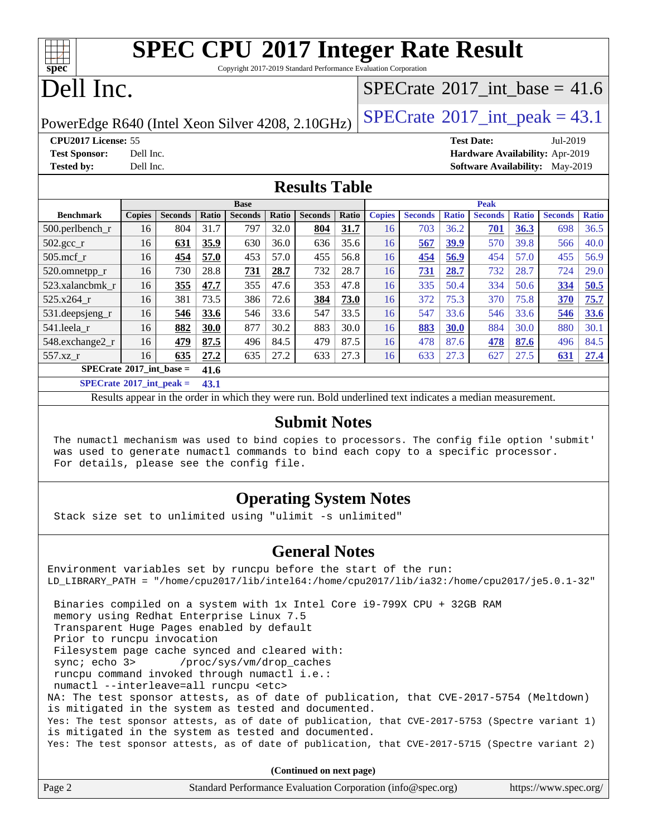Copyright 2017-2019 Standard Performance Evaluation Corporation

## Dell Inc.

**[spec](http://www.spec.org/)**

### [SPECrate](http://www.spec.org/auto/cpu2017/Docs/result-fields.html#SPECrate2017intbase)®2017 int\_base = 41.6

PowerEdge R640 (Intel Xeon Silver 4208, 2.10GHz)  $\left|$  [SPECrate](http://www.spec.org/auto/cpu2017/Docs/result-fields.html#SPECrate2017intpeak)<sup>®</sup>[2017\\_int\\_peak =](http://www.spec.org/auto/cpu2017/Docs/result-fields.html#SPECrate2017intpeak) 43.1

**[CPU2017 License:](http://www.spec.org/auto/cpu2017/Docs/result-fields.html#CPU2017License)** 55 **[Test Date:](http://www.spec.org/auto/cpu2017/Docs/result-fields.html#TestDate)** Jul-2019 **[Test Sponsor:](http://www.spec.org/auto/cpu2017/Docs/result-fields.html#TestSponsor)** Dell Inc. **[Hardware Availability:](http://www.spec.org/auto/cpu2017/Docs/result-fields.html#HardwareAvailability)** Apr-2019 **[Tested by:](http://www.spec.org/auto/cpu2017/Docs/result-fields.html#Testedby)** Dell Inc. **[Software Availability:](http://www.spec.org/auto/cpu2017/Docs/result-fields.html#SoftwareAvailability)** May-2019

### **[Results Table](http://www.spec.org/auto/cpu2017/Docs/result-fields.html#ResultsTable)**

|                                   |               |                |              | <b>Base</b>    |       |                |       |               |                |              | <b>Peak</b>    |              |                |              |
|-----------------------------------|---------------|----------------|--------------|----------------|-------|----------------|-------|---------------|----------------|--------------|----------------|--------------|----------------|--------------|
| <b>Benchmark</b>                  | <b>Copies</b> | <b>Seconds</b> | Ratio        | <b>Seconds</b> | Ratio | <b>Seconds</b> | Ratio | <b>Copies</b> | <b>Seconds</b> | <b>Ratio</b> | <b>Seconds</b> | <b>Ratio</b> | <b>Seconds</b> | <b>Ratio</b> |
| $500.$ perlbench_r                | 16            | 804            | 31.7         | 797            | 32.0  | 804            | 31.7  | 16            | 703            | 36.2         | 701            | 36.3         | 698            | 36.5         |
| $502.\text{gcc\_r}$               | 16            | 631            | 35.9         | 630            | 36.0  | 636            | 35.6  | 16            | 567            | 39.9         | 570            | 39.8         | 566            | 40.0         |
| $505$ .mcf r                      | 16            | 454            | 57.0         | 453            | 57.0  | 455            | 56.8  | 16            | 454            | 56.9         | 454            | 57.0         | 455            | 56.9         |
| 520.omnetpp_r                     | 16            | 730            | 28.8         | 731            | 28.7  | 732            | 28.7  | 16            | 731            | 28.7         | 732            | 28.7         | 724            | 29.0         |
| 523.xalancbmk r                   | 16            | 355            | 47.7         | 355            | 47.6  | 353            | 47.8  | 16            | 335            | 50.4         | 334            | 50.6         | 334            | 50.5         |
| 525.x264 r                        | 16            | 381            | 73.5         | 386            | 72.6  | 384            | 73.0  | 16            | 372            | 75.3         | 370            | 75.8         | 370            | 75.7         |
| 531.deepsjeng_r                   | 16            | 546            | 33.6         | 546            | 33.6  | 547            | 33.5  | 16            | 547            | 33.6         | 546            | 33.6         | 546            | 33.6         |
| 541.leela r                       | 16            | 882            | 30.0         | 877            | 30.2  | 883            | 30.0  | 16            | 883            | 30.0         | 884            | 30.0         | 880            | 30.1         |
| 548.exchange2_r                   | 16            | 479            | 87.5         | 496            | 84.5  | 479            | 87.5  | 16            | 478            | 87.6         | 478            | 87.6         | 496            | 84.5         |
| 557.xz r                          | 16            | 635            | 27.2         | 635            | 27.2  | 633            | 27.3  | 16            | 633            | 27.3         | 627            | 27.5         | 631            | 27.4         |
| $SPECrate^{\circ}2017$ int base = |               |                | 41.6         |                |       |                |       |               |                |              |                |              |                |              |
| $CDFAC = 1.6004.7 \cdot 1.4$      |               |                | $\mathbf{A}$ |                |       |                |       |               |                |              |                |              |                |              |

**[SPECrate](http://www.spec.org/auto/cpu2017/Docs/result-fields.html#SPECrate2017intpeak)[2017\\_int\\_peak =](http://www.spec.org/auto/cpu2017/Docs/result-fields.html#SPECrate2017intpeak) 43.1**

Results appear in the [order in which they were run](http://www.spec.org/auto/cpu2017/Docs/result-fields.html#RunOrder). Bold underlined text [indicates a median measurement](http://www.spec.org/auto/cpu2017/Docs/result-fields.html#Median).

### **[Submit Notes](http://www.spec.org/auto/cpu2017/Docs/result-fields.html#SubmitNotes)**

 The numactl mechanism was used to bind copies to processors. The config file option 'submit' was used to generate numactl commands to bind each copy to a specific processor. For details, please see the config file.

### **[Operating System Notes](http://www.spec.org/auto/cpu2017/Docs/result-fields.html#OperatingSystemNotes)**

Stack size set to unlimited using "ulimit -s unlimited"

### **[General Notes](http://www.spec.org/auto/cpu2017/Docs/result-fields.html#GeneralNotes)**

Environment variables set by runcpu before the start of the run: LD\_LIBRARY\_PATH = "/home/cpu2017/lib/intel64:/home/cpu2017/lib/ia32:/home/cpu2017/je5.0.1-32" Binaries compiled on a system with 1x Intel Core i9-799X CPU + 32GB RAM memory using Redhat Enterprise Linux 7.5 Transparent Huge Pages enabled by default Prior to runcpu invocation Filesystem page cache synced and cleared with: sync; echo 3> /proc/sys/vm/drop\_caches runcpu command invoked through numactl i.e.: numactl --interleave=all runcpu <etc> NA: The test sponsor attests, as of date of publication, that CVE-2017-5754 (Meltdown) is mitigated in the system as tested and documented. Yes: The test sponsor attests, as of date of publication, that CVE-2017-5753 (Spectre variant 1) is mitigated in the system as tested and documented. Yes: The test sponsor attests, as of date of publication, that CVE-2017-5715 (Spectre variant 2)

**(Continued on next page)**

| Page 2<br>Standard Performance Evaluation Corporation (info@spec.org)<br>https://www.spec.org/ |  |
|------------------------------------------------------------------------------------------------|--|
|------------------------------------------------------------------------------------------------|--|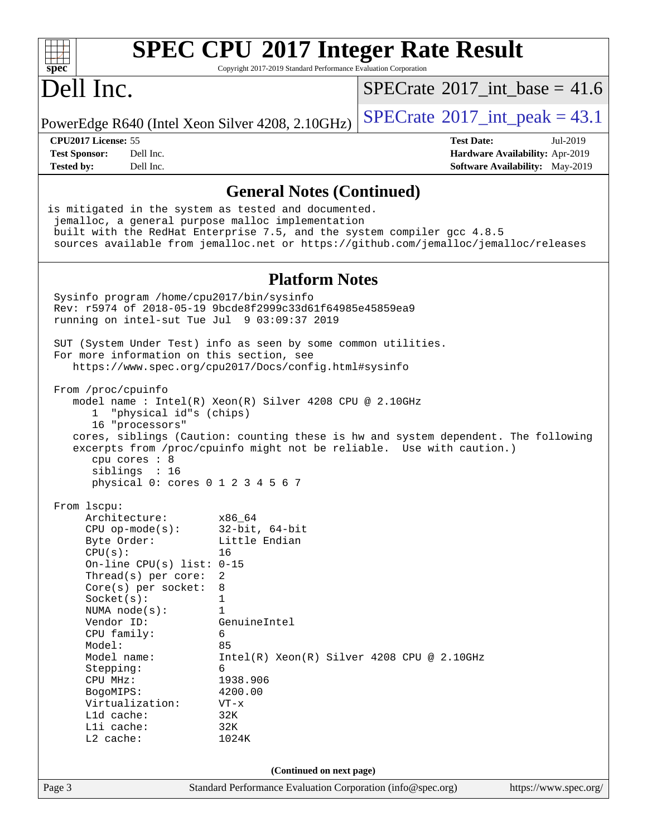| spec <sup>®</sup>                                                                                                                                                                                                                                                                                                                                     | Copyright 2017-2019 Standard Performance Evaluation Corporation                                                                                                                                                     | <b>SPEC CPU®2017 Integer Rate Result</b>                                                                                                                    |                       |
|-------------------------------------------------------------------------------------------------------------------------------------------------------------------------------------------------------------------------------------------------------------------------------------------------------------------------------------------------------|---------------------------------------------------------------------------------------------------------------------------------------------------------------------------------------------------------------------|-------------------------------------------------------------------------------------------------------------------------------------------------------------|-----------------------|
| Dell Inc.                                                                                                                                                                                                                                                                                                                                             |                                                                                                                                                                                                                     | $SPECTate$ <sup>®</sup> 2017_int_base = 41.6                                                                                                                |                       |
| PowerEdge R640 (Intel Xeon Silver 4208, 2.10GHz)                                                                                                                                                                                                                                                                                                      |                                                                                                                                                                                                                     | $SPECrate^{\circ}2017\_int\_peak = 43.1$                                                                                                                    |                       |
| CPU2017 License: 55                                                                                                                                                                                                                                                                                                                                   |                                                                                                                                                                                                                     | <b>Test Date:</b>                                                                                                                                           | Jul-2019              |
| <b>Test Sponsor:</b><br>Dell Inc.                                                                                                                                                                                                                                                                                                                     |                                                                                                                                                                                                                     | Hardware Availability: Apr-2019                                                                                                                             |                       |
| <b>Tested by:</b><br>Dell Inc.                                                                                                                                                                                                                                                                                                                        |                                                                                                                                                                                                                     | Software Availability: May-2019                                                                                                                             |                       |
|                                                                                                                                                                                                                                                                                                                                                       | <b>General Notes (Continued)</b>                                                                                                                                                                                    |                                                                                                                                                             |                       |
| is mitigated in the system as tested and documented.<br>jemalloc, a general purpose malloc implementation<br>built with the RedHat Enterprise 7.5, and the system compiler gcc 4.8.5                                                                                                                                                                  |                                                                                                                                                                                                                     | sources available from jemalloc.net or https://github.com/jemalloc/jemalloc/releases                                                                        |                       |
|                                                                                                                                                                                                                                                                                                                                                       | <b>Platform Notes</b>                                                                                                                                                                                               |                                                                                                                                                             |                       |
| Sysinfo program /home/cpu2017/bin/sysinfo<br>Rev: r5974 of 2018-05-19 9bcde8f2999c33d61f64985e45859ea9<br>running on intel-sut Tue Jul 9 03:09:37 2019                                                                                                                                                                                                |                                                                                                                                                                                                                     |                                                                                                                                                             |                       |
| SUT (System Under Test) info as seen by some common utilities.<br>For more information on this section, see<br>https://www.spec.org/cpu2017/Docs/config.html#sysinfo                                                                                                                                                                                  |                                                                                                                                                                                                                     |                                                                                                                                                             |                       |
| From /proc/cpuinfo<br>model name: $Intel(R)$ Xeon(R) Silver 4208 CPU @ 2.10GHz<br>"physical id"s (chips)<br>ı.<br>16 "processors"<br>cpu cores $: 8$<br>siblings : 16<br>physical 0: cores 0 1 2 3 4 5 6 7                                                                                                                                            |                                                                                                                                                                                                                     | cores, siblings (Caution: counting these is hw and system dependent. The following<br>excerpts from /proc/cpuinfo might not be reliable. Use with caution.) |                       |
| From lscpu:<br>Architecture:<br>$CPU$ op-mode( $s$ ):<br>Byte Order:<br>CPU(s):<br>On-line CPU(s) list: $0-15$<br>Thread(s) per core:<br>$Core(s)$ per socket:<br>Socket(s):<br>NUMA node(s):<br>Vendor ID:<br>CPU family:<br>Model:<br>Model name:<br>Stepping:<br>CPU MHz:<br>BogoMIPS:<br>Virtualization:<br>Lld cache:<br>Lli cache:<br>L2 cache: | x86_64<br>$32$ -bit, $64$ -bit<br>Little Endian<br>16<br>2<br>8<br>1<br>1<br>GenuineIntel<br>6<br>85<br>$Intel(R) Xeon(R) Silver 4208 CPU @ 2.10GHz$<br>6<br>1938.906<br>4200.00<br>$VT - x$<br>32K<br>32K<br>1024K |                                                                                                                                                             |                       |
|                                                                                                                                                                                                                                                                                                                                                       | (Continued on next page)                                                                                                                                                                                            |                                                                                                                                                             |                       |
| Page 3                                                                                                                                                                                                                                                                                                                                                | Standard Performance Evaluation Corporation (info@spec.org)                                                                                                                                                         |                                                                                                                                                             | https://www.spec.org/ |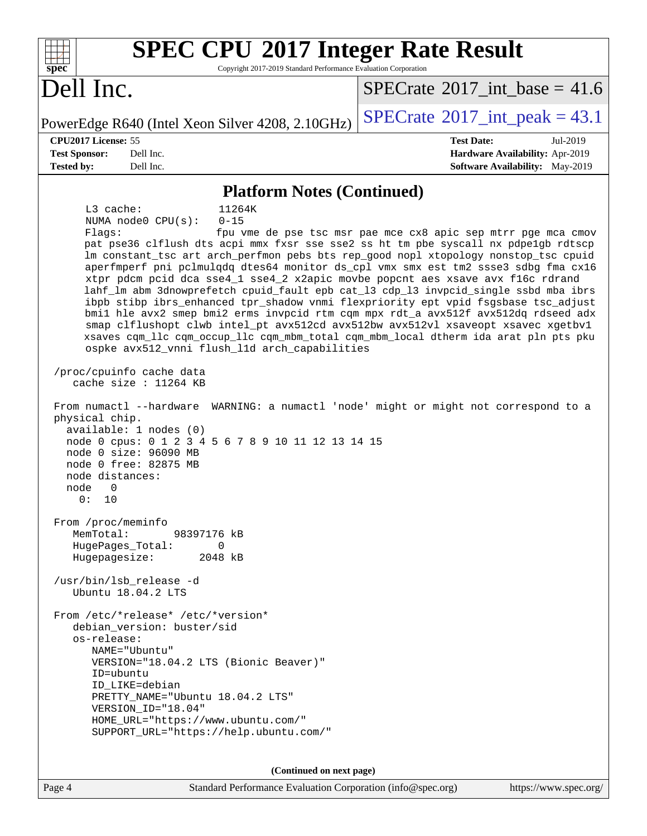| <b>SPEC CPU®2017 Integer Rate Result</b><br>Copyright 2017-2019 Standard Performance Evaluation Corporation<br>spec <sup>®</sup>                                                                                                                                                                                                                                                                                                                                                                                                                                                                                                                                                                                                                                                                                                                                                                                                                                                                                                                                                                                                                                                                                                                                                                                                                                                                                                                                                                                                                                                                                                                                                                                          |                                                                                                                               |
|---------------------------------------------------------------------------------------------------------------------------------------------------------------------------------------------------------------------------------------------------------------------------------------------------------------------------------------------------------------------------------------------------------------------------------------------------------------------------------------------------------------------------------------------------------------------------------------------------------------------------------------------------------------------------------------------------------------------------------------------------------------------------------------------------------------------------------------------------------------------------------------------------------------------------------------------------------------------------------------------------------------------------------------------------------------------------------------------------------------------------------------------------------------------------------------------------------------------------------------------------------------------------------------------------------------------------------------------------------------------------------------------------------------------------------------------------------------------------------------------------------------------------------------------------------------------------------------------------------------------------------------------------------------------------------------------------------------------------|-------------------------------------------------------------------------------------------------------------------------------|
| Dell Inc.                                                                                                                                                                                                                                                                                                                                                                                                                                                                                                                                                                                                                                                                                                                                                                                                                                                                                                                                                                                                                                                                                                                                                                                                                                                                                                                                                                                                                                                                                                                                                                                                                                                                                                                 | $SPECTate$ <sup>®</sup> 2017 int base = 41.6                                                                                  |
| PowerEdge R640 (Intel Xeon Silver 4208, 2.10GHz)                                                                                                                                                                                                                                                                                                                                                                                                                                                                                                                                                                                                                                                                                                                                                                                                                                                                                                                                                                                                                                                                                                                                                                                                                                                                                                                                                                                                                                                                                                                                                                                                                                                                          | $SPECrate^{\circledcirc}2017\_int\_peak = 43.1$                                                                               |
| CPU2017 License: 55                                                                                                                                                                                                                                                                                                                                                                                                                                                                                                                                                                                                                                                                                                                                                                                                                                                                                                                                                                                                                                                                                                                                                                                                                                                                                                                                                                                                                                                                                                                                                                                                                                                                                                       | <b>Test Date:</b><br>Jul-2019                                                                                                 |
| <b>Test Sponsor:</b><br>Dell Inc.<br><b>Tested by:</b><br>Dell Inc.                                                                                                                                                                                                                                                                                                                                                                                                                                                                                                                                                                                                                                                                                                                                                                                                                                                                                                                                                                                                                                                                                                                                                                                                                                                                                                                                                                                                                                                                                                                                                                                                                                                       | Hardware Availability: Apr-2019<br><b>Software Availability:</b> May-2019                                                     |
|                                                                                                                                                                                                                                                                                                                                                                                                                                                                                                                                                                                                                                                                                                                                                                                                                                                                                                                                                                                                                                                                                                                                                                                                                                                                                                                                                                                                                                                                                                                                                                                                                                                                                                                           |                                                                                                                               |
| <b>Platform Notes (Continued)</b><br>L3 cache:<br>11264K<br>NUMA node0 CPU(s):<br>$0 - 15$<br>Flags:<br>pat pse36 clflush dts acpi mmx fxsr sse sse2 ss ht tm pbe syscall nx pdpelgb rdtscp<br>lm constant_tsc art arch_perfmon pebs bts rep_good nopl xtopology nonstop_tsc cpuid<br>aperfmperf pni pclmulqdq dtes64 monitor ds_cpl vmx smx est tm2 ssse3 sdbg fma cx16<br>xtpr pdcm pcid dca sse4_1 sse4_2 x2apic movbe popcnt aes xsave avx f16c rdrand<br>lahf_lm abm 3dnowprefetch cpuid_fault epb cat_13 cdp_13 invpcid_single ssbd mba ibrs<br>ibpb stibp ibrs_enhanced tpr_shadow vnmi flexpriority ept vpid fsgsbase tsc_adjust<br>bmil hle avx2 smep bmi2 erms invpcid rtm cqm mpx rdt_a avx512f avx512dq rdseed adx<br>smap clflushopt clwb intel_pt avx512cd avx512bw avx512vl xsaveopt xsavec xgetbvl<br>xsaves cqm_llc cqm_occup_llc cqm_mbm_total cqm_mbm_local dtherm ida arat pln pts pku<br>ospke avx512_vnni flush_11d arch_capabilities<br>/proc/cpuinfo cache data<br>cache size : 11264 KB<br>From numactl --hardware<br>physical chip.<br>available: 1 nodes (0)<br>node 0 cpus: 0 1 2 3 4 5 6 7 8 9 10 11 12 13 14 15<br>node 0 size: 96090 MB<br>node 0 free: 82875 MB<br>node distances:<br>node<br>0<br>0:<br>10<br>From /proc/meminfo<br>MemTotal:<br>98397176 kB<br>HugePages_Total:<br>0<br>Hugepagesize:<br>2048 kB<br>/usr/bin/lsb_release -d<br>Ubuntu 18.04.2 LTS<br>From /etc/*release* /etc/*version*<br>debian version: buster/sid<br>os-release:<br>NAME="Ubuntu"<br>VERSION="18.04.2 LTS (Bionic Beaver)"<br>ID=ubuntu<br>ID_LIKE=debian<br>PRETTY_NAME="Ubuntu 18.04.2 LTS"<br>VERSION_ID="18.04"<br>HOME_URL="https://www.ubuntu.com/"<br>SUPPORT_URL="https://help.ubuntu.com/" | fpu vme de pse tsc msr pae mce cx8 apic sep mtrr pge mca cmov<br>WARNING: a numactl 'node' might or might not correspond to a |
| (Continued on next page)                                                                                                                                                                                                                                                                                                                                                                                                                                                                                                                                                                                                                                                                                                                                                                                                                                                                                                                                                                                                                                                                                                                                                                                                                                                                                                                                                                                                                                                                                                                                                                                                                                                                                                  |                                                                                                                               |

Page 4 Standard Performance Evaluation Corporation [\(info@spec.org\)](mailto:info@spec.org) <https://www.spec.org/>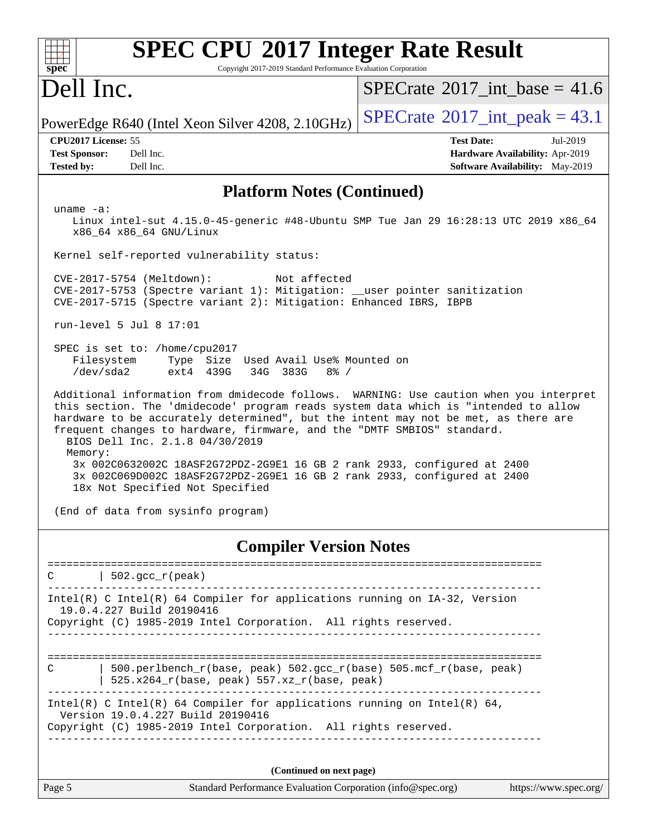| $spec^*$                                                                                                                                                                         | Copyright 2017-2019 Standard Performance Evaluation Corporation      | <b>SPEC CPU®2017 Integer Rate Result</b>                                                                                                                                                                                                                                                                                                                                                                                    |
|----------------------------------------------------------------------------------------------------------------------------------------------------------------------------------|----------------------------------------------------------------------|-----------------------------------------------------------------------------------------------------------------------------------------------------------------------------------------------------------------------------------------------------------------------------------------------------------------------------------------------------------------------------------------------------------------------------|
| Dell Inc.                                                                                                                                                                        |                                                                      | $SPECTate$ <sup>®</sup> 2017 int base = 41.6                                                                                                                                                                                                                                                                                                                                                                                |
| PowerEdge R640 (Intel Xeon Silver 4208, 2.10GHz)                                                                                                                                 |                                                                      | $SPECTate^{\circ}2017$ _int_peak = 43.1                                                                                                                                                                                                                                                                                                                                                                                     |
| CPU2017 License: 55<br>Dell Inc.<br><b>Test Sponsor:</b><br>Dell Inc.<br><b>Tested by:</b>                                                                                       |                                                                      | <b>Test Date:</b><br>Jul-2019<br>Hardware Availability: Apr-2019<br>Software Availability: May-2019                                                                                                                                                                                                                                                                                                                         |
|                                                                                                                                                                                  | <b>Platform Notes (Continued)</b>                                    |                                                                                                                                                                                                                                                                                                                                                                                                                             |
| uname $-a$ :<br>x86_64 x86_64 GNU/Linux                                                                                                                                          |                                                                      | Linux intel-sut 4.15.0-45-generic #48-Ubuntu SMP Tue Jan 29 16:28:13 UTC 2019 x86_64                                                                                                                                                                                                                                                                                                                                        |
| Kernel self-reported vulnerability status:                                                                                                                                       |                                                                      |                                                                                                                                                                                                                                                                                                                                                                                                                             |
| $CVE-2017-5754$ (Meltdown):<br>CVE-2017-5753 (Spectre variant 1): Mitigation: __user pointer sanitization<br>CVE-2017-5715 (Spectre variant 2): Mitigation: Enhanced IBRS, IBPB  | Not affected                                                         |                                                                                                                                                                                                                                                                                                                                                                                                                             |
| run-level 5 Jul 8 17:01                                                                                                                                                          |                                                                      |                                                                                                                                                                                                                                                                                                                                                                                                                             |
| SPEC is set to: /home/cpu2017<br>Filesystem<br>/dev/sda2<br>ext4 439G                                                                                                            | Type Size Used Avail Use% Mounted on<br>34G 383G<br>$8\frac{6}{9}$ / |                                                                                                                                                                                                                                                                                                                                                                                                                             |
| frequent changes to hardware, firmware, and the "DMTF SMBIOS" standard.<br>BIOS Dell Inc. 2.1.8 04/30/2019<br>Memory:<br>18x Not Specified Not Specified                         |                                                                      | Additional information from dmidecode follows. WARNING: Use caution when you interpret<br>this section. The 'dmidecode' program reads system data which is "intended to allow<br>hardware to be accurately determined", but the intent may not be met, as there are<br>3x 002C0632002C 18ASF2G72PDZ-2G9E1 16 GB 2 rank 2933, configured at 2400<br>3x 002C069D002C 18ASF2G72PDZ-2G9E1 16 GB 2 rank 2933, configured at 2400 |
| (End of data from sysinfo program)                                                                                                                                               |                                                                      |                                                                                                                                                                                                                                                                                                                                                                                                                             |
|                                                                                                                                                                                  | <b>Compiler Version Notes</b>                                        |                                                                                                                                                                                                                                                                                                                                                                                                                             |
| $502.\text{gcc\_r}(\text{peak})$<br>C                                                                                                                                            |                                                                      |                                                                                                                                                                                                                                                                                                                                                                                                                             |
| Intel(R) C Intel(R) 64 Compiler for applications running on IA-32, Version<br>19.0.4.227 Build 20190416                                                                          |                                                                      |                                                                                                                                                                                                                                                                                                                                                                                                                             |
| Copyright (C) 1985-2019 Intel Corporation. All rights reserved.                                                                                                                  |                                                                      |                                                                                                                                                                                                                                                                                                                                                                                                                             |
| C                                                                                                                                                                                | 525.x264_r(base, peak) 557.xz_r(base, peak)                          | 500.perlbench_r(base, peak) 502.gcc_r(base) 505.mcf_r(base, peak)                                                                                                                                                                                                                                                                                                                                                           |
| Intel(R) C Intel(R) 64 Compiler for applications running on Intel(R) 64,<br>Version 19.0.4.227 Build 20190416<br>Copyright (C) 1985-2019 Intel Corporation. All rights reserved. |                                                                      |                                                                                                                                                                                                                                                                                                                                                                                                                             |
|                                                                                                                                                                                  |                                                                      |                                                                                                                                                                                                                                                                                                                                                                                                                             |
|                                                                                                                                                                                  | (Continued on next page)                                             |                                                                                                                                                                                                                                                                                                                                                                                                                             |
| Page 5                                                                                                                                                                           | Standard Performance Evaluation Corporation (info@spec.org)          | https://www.spec.org/                                                                                                                                                                                                                                                                                                                                                                                                       |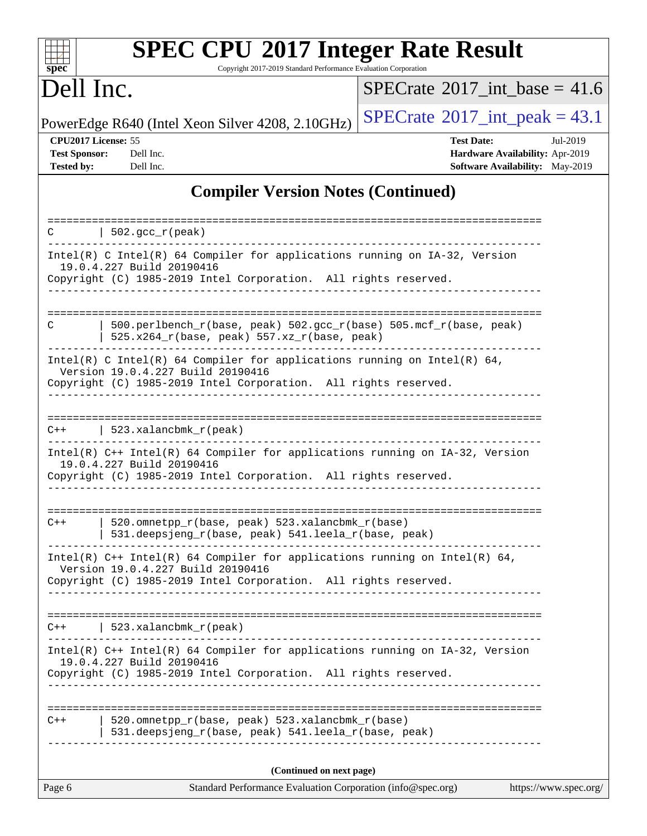| spec <sup>®</sup>                                                | <b>SPEC CPU®2017 Integer Rate Result</b><br>Copyright 2017-2019 Standard Performance Evaluation Corporation                                                                        |                                                                                                     |
|------------------------------------------------------------------|------------------------------------------------------------------------------------------------------------------------------------------------------------------------------------|-----------------------------------------------------------------------------------------------------|
| Dell Inc.                                                        |                                                                                                                                                                                    | $SPECTate$ <sup>®</sup> 2017_int_base = 41.6                                                        |
|                                                                  | PowerEdge R640 (Intel Xeon Silver 4208, 2.10GHz)                                                                                                                                   | $SPECrate^{\circledcirc}2017\_int\_peak = 43.1$                                                     |
| CPU2017 License: 55<br><b>Test Sponsor:</b><br><b>Tested by:</b> | Dell Inc.<br>Dell Inc.                                                                                                                                                             | <b>Test Date:</b><br>Jul-2019<br>Hardware Availability: Apr-2019<br>Software Availability: May-2019 |
|                                                                  | <b>Compiler Version Notes (Continued)</b>                                                                                                                                          |                                                                                                     |
| C                                                                | $\vert$ 502.gcc_r(peak)                                                                                                                                                            |                                                                                                     |
|                                                                  | Intel(R) C Intel(R) 64 Compiler for applications running on IA-32, Version<br>19.0.4.227 Build 20190416<br>Copyright (C) 1985-2019 Intel Corporation. All rights reserved.         |                                                                                                     |
| С                                                                | 500.perlbench_r(base, peak) 502.gcc_r(base) 505.mcf_r(base, peak)<br>$525.x264_r(base, peak) 557.xz_r(base, peak)$                                                                 |                                                                                                     |
|                                                                  | Intel(R) C Intel(R) 64 Compiler for applications running on Intel(R) 64,<br>Version 19.0.4.227 Build 20190416<br>Copyright (C) 1985-2019 Intel Corporation. All rights reserved.   |                                                                                                     |
| $C++$                                                            | $523.xalanchm k_r (peak)$                                                                                                                                                          |                                                                                                     |
|                                                                  | Intel(R) C++ Intel(R) 64 Compiler for applications running on IA-32, Version<br>19.0.4.227 Build 20190416<br>Copyright (C) 1985-2019 Intel Corporation. All rights reserved.       |                                                                                                     |
| $C++$                                                            | 520.omnetpp_r(base, peak) 523.xalancbmk_r(base)<br>531.deepsjeng_r(base, peak) 541.leela_r(base, peak)                                                                             |                                                                                                     |
|                                                                  | Intel(R) C++ Intel(R) 64 Compiler for applications running on Intel(R) 64,<br>Version 19.0.4.227 Build 20190416<br>Copyright (C) 1985-2019 Intel Corporation. All rights reserved. |                                                                                                     |
| $C++$                                                            | 523.xalancbmk_r(peak)                                                                                                                                                              |                                                                                                     |
|                                                                  | Intel(R) C++ Intel(R) 64 Compiler for applications running on IA-32, Version<br>19.0.4.227 Build 20190416<br>Copyright (C) 1985-2019 Intel Corporation. All rights reserved.       |                                                                                                     |
| $C++$                                                            | 520.omnetpp_r(base, peak) 523.xalancbmk_r(base)<br>531.deepsjeng_r(base, peak) 541.leela_r(base, peak)                                                                             |                                                                                                     |
|                                                                  | (Continued on next page)                                                                                                                                                           |                                                                                                     |

Page 6 Standard Performance Evaluation Corporation [\(info@spec.org\)](mailto:info@spec.org) <https://www.spec.org/>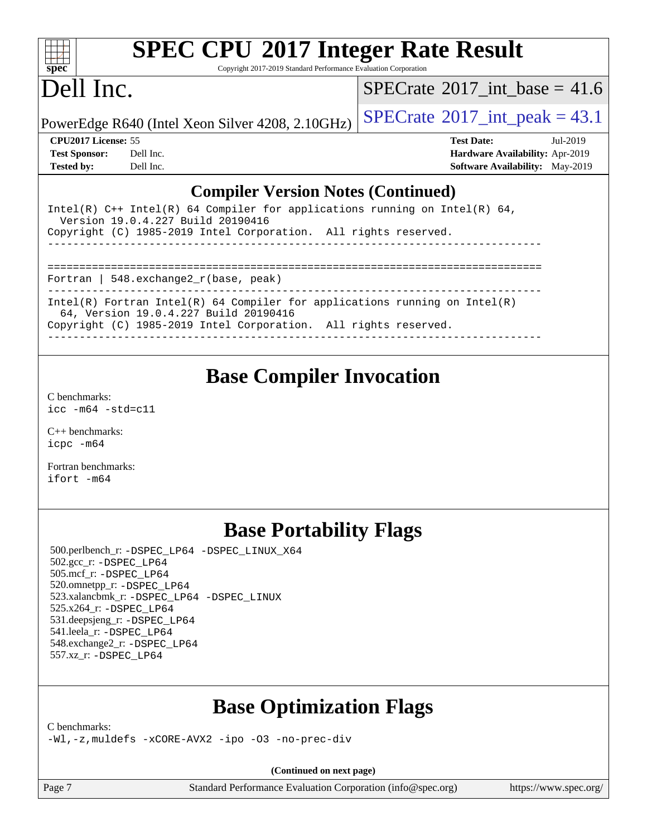

Copyright 2017-2019 Standard Performance Evaluation Corporation

## Dell Inc.

[SPECrate](http://www.spec.org/auto/cpu2017/Docs/result-fields.html#SPECrate2017intbase)<sup>®</sup>2017 int\_base = 41.6

PowerEdge R640 (Intel Xeon Silver 4208, 2.10GHz)  $\left|$  [SPECrate](http://www.spec.org/auto/cpu2017/Docs/result-fields.html#SPECrate2017intpeak)®[2017\\_int\\_peak =](http://www.spec.org/auto/cpu2017/Docs/result-fields.html#SPECrate2017intpeak) 43.1

| <b>Test Sponsor:</b> | Dell Inc. |
|----------------------|-----------|
| Tested by:           | Dell Inc. |

**[CPU2017 License:](http://www.spec.org/auto/cpu2017/Docs/result-fields.html#CPU2017License)** 55 **[Test Date:](http://www.spec.org/auto/cpu2017/Docs/result-fields.html#TestDate)** Jul-2019 **[Hardware Availability:](http://www.spec.org/auto/cpu2017/Docs/result-fields.html#HardwareAvailability)** Apr-2019 **[Software Availability:](http://www.spec.org/auto/cpu2017/Docs/result-fields.html#SoftwareAvailability)** May-2019

### **[Compiler Version Notes \(Continued\)](http://www.spec.org/auto/cpu2017/Docs/result-fields.html#CompilerVersionNotes)**

| Intel(R) C++ Intel(R) 64 Compiler for applications running on Intel(R) 64,<br>Version 19.0.4.227 Build 20190416<br>Copyright (C) 1985-2019 Intel Corporation. All rights reserved. |
|------------------------------------------------------------------------------------------------------------------------------------------------------------------------------------|
|                                                                                                                                                                                    |
|                                                                                                                                                                                    |
|                                                                                                                                                                                    |
| Fortran   548. $exchange2 r(base, peak)$                                                                                                                                           |
|                                                                                                                                                                                    |
| Intel(R) Fortran Intel(R) 64 Compiler for applications running on Intel(R)<br>64, Version 19.0.4.227 Build 20190416                                                                |
| Copyright (C) 1985-2019 Intel Corporation. All rights reserved.                                                                                                                    |
|                                                                                                                                                                                    |

### **[Base Compiler Invocation](http://www.spec.org/auto/cpu2017/Docs/result-fields.html#BaseCompilerInvocation)**

[C benchmarks](http://www.spec.org/auto/cpu2017/Docs/result-fields.html#Cbenchmarks): [icc -m64 -std=c11](http://www.spec.org/cpu2017/results/res2019q3/cpu2017-20190831-17322.flags.html#user_CCbase_intel_icc_64bit_c11_33ee0cdaae7deeeab2a9725423ba97205ce30f63b9926c2519791662299b76a0318f32ddfffdc46587804de3178b4f9328c46fa7c2b0cd779d7a61945c91cd35)

[C++ benchmarks:](http://www.spec.org/auto/cpu2017/Docs/result-fields.html#CXXbenchmarks) [icpc -m64](http://www.spec.org/cpu2017/results/res2019q3/cpu2017-20190831-17322.flags.html#user_CXXbase_intel_icpc_64bit_4ecb2543ae3f1412ef961e0650ca070fec7b7afdcd6ed48761b84423119d1bf6bdf5cad15b44d48e7256388bc77273b966e5eb805aefd121eb22e9299b2ec9d9)

[Fortran benchmarks](http://www.spec.org/auto/cpu2017/Docs/result-fields.html#Fortranbenchmarks): [ifort -m64](http://www.spec.org/cpu2017/results/res2019q3/cpu2017-20190831-17322.flags.html#user_FCbase_intel_ifort_64bit_24f2bb282fbaeffd6157abe4f878425411749daecae9a33200eee2bee2fe76f3b89351d69a8130dd5949958ce389cf37ff59a95e7a40d588e8d3a57e0c3fd751)

### **[Base Portability Flags](http://www.spec.org/auto/cpu2017/Docs/result-fields.html#BasePortabilityFlags)**

 500.perlbench\_r: [-DSPEC\\_LP64](http://www.spec.org/cpu2017/results/res2019q3/cpu2017-20190831-17322.flags.html#b500.perlbench_r_basePORTABILITY_DSPEC_LP64) [-DSPEC\\_LINUX\\_X64](http://www.spec.org/cpu2017/results/res2019q3/cpu2017-20190831-17322.flags.html#b500.perlbench_r_baseCPORTABILITY_DSPEC_LINUX_X64) 502.gcc\_r: [-DSPEC\\_LP64](http://www.spec.org/cpu2017/results/res2019q3/cpu2017-20190831-17322.flags.html#suite_basePORTABILITY502_gcc_r_DSPEC_LP64) 505.mcf\_r: [-DSPEC\\_LP64](http://www.spec.org/cpu2017/results/res2019q3/cpu2017-20190831-17322.flags.html#suite_basePORTABILITY505_mcf_r_DSPEC_LP64) 520.omnetpp\_r: [-DSPEC\\_LP64](http://www.spec.org/cpu2017/results/res2019q3/cpu2017-20190831-17322.flags.html#suite_basePORTABILITY520_omnetpp_r_DSPEC_LP64) 523.xalancbmk\_r: [-DSPEC\\_LP64](http://www.spec.org/cpu2017/results/res2019q3/cpu2017-20190831-17322.flags.html#suite_basePORTABILITY523_xalancbmk_r_DSPEC_LP64) [-DSPEC\\_LINUX](http://www.spec.org/cpu2017/results/res2019q3/cpu2017-20190831-17322.flags.html#b523.xalancbmk_r_baseCXXPORTABILITY_DSPEC_LINUX) 525.x264\_r: [-DSPEC\\_LP64](http://www.spec.org/cpu2017/results/res2019q3/cpu2017-20190831-17322.flags.html#suite_basePORTABILITY525_x264_r_DSPEC_LP64) 531.deepsjeng\_r: [-DSPEC\\_LP64](http://www.spec.org/cpu2017/results/res2019q3/cpu2017-20190831-17322.flags.html#suite_basePORTABILITY531_deepsjeng_r_DSPEC_LP64) 541.leela\_r: [-DSPEC\\_LP64](http://www.spec.org/cpu2017/results/res2019q3/cpu2017-20190831-17322.flags.html#suite_basePORTABILITY541_leela_r_DSPEC_LP64) 548.exchange2\_r: [-DSPEC\\_LP64](http://www.spec.org/cpu2017/results/res2019q3/cpu2017-20190831-17322.flags.html#suite_basePORTABILITY548_exchange2_r_DSPEC_LP64) 557.xz\_r: [-DSPEC\\_LP64](http://www.spec.org/cpu2017/results/res2019q3/cpu2017-20190831-17322.flags.html#suite_basePORTABILITY557_xz_r_DSPEC_LP64)

### **[Base Optimization Flags](http://www.spec.org/auto/cpu2017/Docs/result-fields.html#BaseOptimizationFlags)**

[C benchmarks](http://www.spec.org/auto/cpu2017/Docs/result-fields.html#Cbenchmarks):

[-Wl,-z,muldefs](http://www.spec.org/cpu2017/results/res2019q3/cpu2017-20190831-17322.flags.html#user_CCbase_link_force_multiple1_b4cbdb97b34bdee9ceefcfe54f4c8ea74255f0b02a4b23e853cdb0e18eb4525ac79b5a88067c842dd0ee6996c24547a27a4b99331201badda8798ef8a743f577) [-xCORE-AVX2](http://www.spec.org/cpu2017/results/res2019q3/cpu2017-20190831-17322.flags.html#user_CCbase_f-xCORE-AVX2) [-ipo](http://www.spec.org/cpu2017/results/res2019q3/cpu2017-20190831-17322.flags.html#user_CCbase_f-ipo) -03 [-no-prec-div](http://www.spec.org/cpu2017/results/res2019q3/cpu2017-20190831-17322.flags.html#user_CCbase_f-no-prec-div)

**(Continued on next page)**

Page 7 Standard Performance Evaluation Corporation [\(info@spec.org\)](mailto:info@spec.org) <https://www.spec.org/>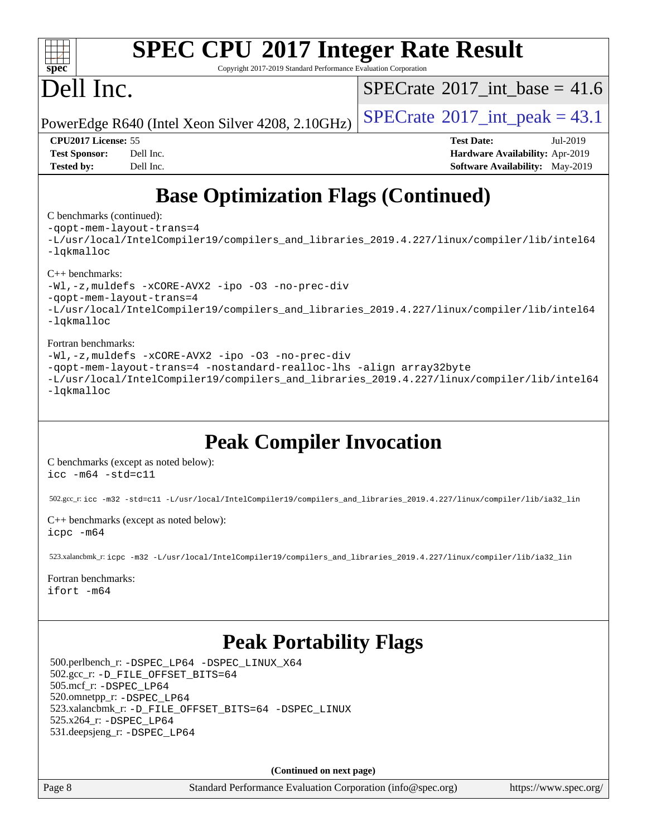

Copyright 2017-2019 Standard Performance Evaluation Corporation

## Dell Inc.

[SPECrate](http://www.spec.org/auto/cpu2017/Docs/result-fields.html#SPECrate2017intbase)®2017 int\_base = 41.6

PowerEdge R640 (Intel Xeon Silver 4208, 2.10GHz)  $\left|$  [SPECrate](http://www.spec.org/auto/cpu2017/Docs/result-fields.html#SPECrate2017intpeak)®[2017\\_int\\_peak =](http://www.spec.org/auto/cpu2017/Docs/result-fields.html#SPECrate2017intpeak) 43.1

**[Tested by:](http://www.spec.org/auto/cpu2017/Docs/result-fields.html#Testedby)** Dell Inc. **[Software Availability:](http://www.spec.org/auto/cpu2017/Docs/result-fields.html#SoftwareAvailability)** May-2019

**[CPU2017 License:](http://www.spec.org/auto/cpu2017/Docs/result-fields.html#CPU2017License)** 55 **[Test Date:](http://www.spec.org/auto/cpu2017/Docs/result-fields.html#TestDate)** Jul-2019 **[Test Sponsor:](http://www.spec.org/auto/cpu2017/Docs/result-fields.html#TestSponsor)** Dell Inc. **[Hardware Availability:](http://www.spec.org/auto/cpu2017/Docs/result-fields.html#HardwareAvailability)** Apr-2019

## **[Base Optimization Flags \(Continued\)](http://www.spec.org/auto/cpu2017/Docs/result-fields.html#BaseOptimizationFlags)**

[C benchmarks](http://www.spec.org/auto/cpu2017/Docs/result-fields.html#Cbenchmarks) (continued):

[-qopt-mem-layout-trans=4](http://www.spec.org/cpu2017/results/res2019q3/cpu2017-20190831-17322.flags.html#user_CCbase_f-qopt-mem-layout-trans_fa39e755916c150a61361b7846f310bcdf6f04e385ef281cadf3647acec3f0ae266d1a1d22d972a7087a248fd4e6ca390a3634700869573d231a252c784941a8) [-L/usr/local/IntelCompiler19/compilers\\_and\\_libraries\\_2019.4.227/linux/compiler/lib/intel64](http://www.spec.org/cpu2017/results/res2019q3/cpu2017-20190831-17322.flags.html#user_CCbase_qkmalloc_link_0ffe0cb02c68ef1b443a077c7888c10c67ca0d1dd7138472156f06a085bbad385f78d49618ad55dca9db3b1608e84afc2f69b4003b1d1ca498a9fc1462ccefda) [-lqkmalloc](http://www.spec.org/cpu2017/results/res2019q3/cpu2017-20190831-17322.flags.html#user_CCbase_qkmalloc_link_lib_79a818439969f771c6bc311cfd333c00fc099dad35c030f5aab9dda831713d2015205805422f83de8875488a2991c0a156aaa600e1f9138f8fc37004abc96dc5)

[C++ benchmarks](http://www.spec.org/auto/cpu2017/Docs/result-fields.html#CXXbenchmarks):

[-Wl,-z,muldefs](http://www.spec.org/cpu2017/results/res2019q3/cpu2017-20190831-17322.flags.html#user_CXXbase_link_force_multiple1_b4cbdb97b34bdee9ceefcfe54f4c8ea74255f0b02a4b23e853cdb0e18eb4525ac79b5a88067c842dd0ee6996c24547a27a4b99331201badda8798ef8a743f577) [-xCORE-AVX2](http://www.spec.org/cpu2017/results/res2019q3/cpu2017-20190831-17322.flags.html#user_CXXbase_f-xCORE-AVX2) [-ipo](http://www.spec.org/cpu2017/results/res2019q3/cpu2017-20190831-17322.flags.html#user_CXXbase_f-ipo) [-O3](http://www.spec.org/cpu2017/results/res2019q3/cpu2017-20190831-17322.flags.html#user_CXXbase_f-O3) [-no-prec-div](http://www.spec.org/cpu2017/results/res2019q3/cpu2017-20190831-17322.flags.html#user_CXXbase_f-no-prec-div) [-qopt-mem-layout-trans=4](http://www.spec.org/cpu2017/results/res2019q3/cpu2017-20190831-17322.flags.html#user_CXXbase_f-qopt-mem-layout-trans_fa39e755916c150a61361b7846f310bcdf6f04e385ef281cadf3647acec3f0ae266d1a1d22d972a7087a248fd4e6ca390a3634700869573d231a252c784941a8) [-L/usr/local/IntelCompiler19/compilers\\_and\\_libraries\\_2019.4.227/linux/compiler/lib/intel64](http://www.spec.org/cpu2017/results/res2019q3/cpu2017-20190831-17322.flags.html#user_CXXbase_qkmalloc_link_0ffe0cb02c68ef1b443a077c7888c10c67ca0d1dd7138472156f06a085bbad385f78d49618ad55dca9db3b1608e84afc2f69b4003b1d1ca498a9fc1462ccefda) [-lqkmalloc](http://www.spec.org/cpu2017/results/res2019q3/cpu2017-20190831-17322.flags.html#user_CXXbase_qkmalloc_link_lib_79a818439969f771c6bc311cfd333c00fc099dad35c030f5aab9dda831713d2015205805422f83de8875488a2991c0a156aaa600e1f9138f8fc37004abc96dc5)

### [Fortran benchmarks:](http://www.spec.org/auto/cpu2017/Docs/result-fields.html#Fortranbenchmarks)

[-Wl,-z,muldefs](http://www.spec.org/cpu2017/results/res2019q3/cpu2017-20190831-17322.flags.html#user_FCbase_link_force_multiple1_b4cbdb97b34bdee9ceefcfe54f4c8ea74255f0b02a4b23e853cdb0e18eb4525ac79b5a88067c842dd0ee6996c24547a27a4b99331201badda8798ef8a743f577) [-xCORE-AVX2](http://www.spec.org/cpu2017/results/res2019q3/cpu2017-20190831-17322.flags.html#user_FCbase_f-xCORE-AVX2) [-ipo](http://www.spec.org/cpu2017/results/res2019q3/cpu2017-20190831-17322.flags.html#user_FCbase_f-ipo) [-O3](http://www.spec.org/cpu2017/results/res2019q3/cpu2017-20190831-17322.flags.html#user_FCbase_f-O3) [-no-prec-div](http://www.spec.org/cpu2017/results/res2019q3/cpu2017-20190831-17322.flags.html#user_FCbase_f-no-prec-div) [-qopt-mem-layout-trans=4](http://www.spec.org/cpu2017/results/res2019q3/cpu2017-20190831-17322.flags.html#user_FCbase_f-qopt-mem-layout-trans_fa39e755916c150a61361b7846f310bcdf6f04e385ef281cadf3647acec3f0ae266d1a1d22d972a7087a248fd4e6ca390a3634700869573d231a252c784941a8) [-nostandard-realloc-lhs](http://www.spec.org/cpu2017/results/res2019q3/cpu2017-20190831-17322.flags.html#user_FCbase_f_2003_std_realloc_82b4557e90729c0f113870c07e44d33d6f5a304b4f63d4c15d2d0f1fab99f5daaed73bdb9275d9ae411527f28b936061aa8b9c8f2d63842963b95c9dd6426b8a) [-align array32byte](http://www.spec.org/cpu2017/results/res2019q3/cpu2017-20190831-17322.flags.html#user_FCbase_align_array32byte_b982fe038af199962ba9a80c053b8342c548c85b40b8e86eb3cc33dee0d7986a4af373ac2d51c3f7cf710a18d62fdce2948f201cd044323541f22fc0fffc51b6) [-L/usr/local/IntelCompiler19/compilers\\_and\\_libraries\\_2019.4.227/linux/compiler/lib/intel64](http://www.spec.org/cpu2017/results/res2019q3/cpu2017-20190831-17322.flags.html#user_FCbase_qkmalloc_link_0ffe0cb02c68ef1b443a077c7888c10c67ca0d1dd7138472156f06a085bbad385f78d49618ad55dca9db3b1608e84afc2f69b4003b1d1ca498a9fc1462ccefda) [-lqkmalloc](http://www.spec.org/cpu2017/results/res2019q3/cpu2017-20190831-17322.flags.html#user_FCbase_qkmalloc_link_lib_79a818439969f771c6bc311cfd333c00fc099dad35c030f5aab9dda831713d2015205805422f83de8875488a2991c0a156aaa600e1f9138f8fc37004abc96dc5)

### **[Peak Compiler Invocation](http://www.spec.org/auto/cpu2017/Docs/result-fields.html#PeakCompilerInvocation)**

[C benchmarks \(except as noted below\)](http://www.spec.org/auto/cpu2017/Docs/result-fields.html#Cbenchmarksexceptasnotedbelow): [icc -m64 -std=c11](http://www.spec.org/cpu2017/results/res2019q3/cpu2017-20190831-17322.flags.html#user_CCpeak_intel_icc_64bit_c11_33ee0cdaae7deeeab2a9725423ba97205ce30f63b9926c2519791662299b76a0318f32ddfffdc46587804de3178b4f9328c46fa7c2b0cd779d7a61945c91cd35)

502.gcc\_r: [icc -m32 -std=c11 -L/usr/local/IntelCompiler19/compilers\\_and\\_libraries\\_2019.4.227/linux/compiler/lib/ia32\\_lin](http://www.spec.org/cpu2017/results/res2019q3/cpu2017-20190831-17322.flags.html#user_peakCCLD502_gcc_r_intel_icc_38a193a897536fa645efb1dc6ac2bea2bddbbe56f130e144a606d1b2649003f27c79f8814020c1f9355cbbf0d7ab0d194a7a979ee1e2a95641bbb8cf571aac7b)

[C++ benchmarks \(except as noted below\)](http://www.spec.org/auto/cpu2017/Docs/result-fields.html#CXXbenchmarksexceptasnotedbelow): [icpc -m64](http://www.spec.org/cpu2017/results/res2019q3/cpu2017-20190831-17322.flags.html#user_CXXpeak_intel_icpc_64bit_4ecb2543ae3f1412ef961e0650ca070fec7b7afdcd6ed48761b84423119d1bf6bdf5cad15b44d48e7256388bc77273b966e5eb805aefd121eb22e9299b2ec9d9)

523.xalancbmk\_r: [icpc -m32 -L/usr/local/IntelCompiler19/compilers\\_and\\_libraries\\_2019.4.227/linux/compiler/lib/ia32\\_lin](http://www.spec.org/cpu2017/results/res2019q3/cpu2017-20190831-17322.flags.html#user_peakCXXLD523_xalancbmk_r_intel_icpc_840f965b38320ad10acba6032d6ca4c816e722c432c250f3408feae347068ba449f694544a48cf12cd3bde3495e328e6747ab0f629c2925d3062e2ee144af951)

[Fortran benchmarks](http://www.spec.org/auto/cpu2017/Docs/result-fields.html#Fortranbenchmarks): [ifort -m64](http://www.spec.org/cpu2017/results/res2019q3/cpu2017-20190831-17322.flags.html#user_FCpeak_intel_ifort_64bit_24f2bb282fbaeffd6157abe4f878425411749daecae9a33200eee2bee2fe76f3b89351d69a8130dd5949958ce389cf37ff59a95e7a40d588e8d3a57e0c3fd751)

### **[Peak Portability Flags](http://www.spec.org/auto/cpu2017/Docs/result-fields.html#PeakPortabilityFlags)**

 500.perlbench\_r: [-DSPEC\\_LP64](http://www.spec.org/cpu2017/results/res2019q3/cpu2017-20190831-17322.flags.html#b500.perlbench_r_peakPORTABILITY_DSPEC_LP64) [-DSPEC\\_LINUX\\_X64](http://www.spec.org/cpu2017/results/res2019q3/cpu2017-20190831-17322.flags.html#b500.perlbench_r_peakCPORTABILITY_DSPEC_LINUX_X64) 502.gcc\_r: [-D\\_FILE\\_OFFSET\\_BITS=64](http://www.spec.org/cpu2017/results/res2019q3/cpu2017-20190831-17322.flags.html#user_peakPORTABILITY502_gcc_r_file_offset_bits_64_5ae949a99b284ddf4e95728d47cb0843d81b2eb0e18bdfe74bbf0f61d0b064f4bda2f10ea5eb90e1dcab0e84dbc592acfc5018bc955c18609f94ddb8d550002c) 505.mcf\_r: [-DSPEC\\_LP64](http://www.spec.org/cpu2017/results/res2019q3/cpu2017-20190831-17322.flags.html#suite_peakPORTABILITY505_mcf_r_DSPEC_LP64) 520.omnetpp\_r: [-DSPEC\\_LP64](http://www.spec.org/cpu2017/results/res2019q3/cpu2017-20190831-17322.flags.html#suite_peakPORTABILITY520_omnetpp_r_DSPEC_LP64) 523.xalancbmk\_r: [-D\\_FILE\\_OFFSET\\_BITS=64](http://www.spec.org/cpu2017/results/res2019q3/cpu2017-20190831-17322.flags.html#user_peakPORTABILITY523_xalancbmk_r_file_offset_bits_64_5ae949a99b284ddf4e95728d47cb0843d81b2eb0e18bdfe74bbf0f61d0b064f4bda2f10ea5eb90e1dcab0e84dbc592acfc5018bc955c18609f94ddb8d550002c) [-DSPEC\\_LINUX](http://www.spec.org/cpu2017/results/res2019q3/cpu2017-20190831-17322.flags.html#b523.xalancbmk_r_peakCXXPORTABILITY_DSPEC_LINUX) 525.x264\_r: [-DSPEC\\_LP64](http://www.spec.org/cpu2017/results/res2019q3/cpu2017-20190831-17322.flags.html#suite_peakPORTABILITY525_x264_r_DSPEC_LP64) 531.deepsjeng\_r: [-DSPEC\\_LP64](http://www.spec.org/cpu2017/results/res2019q3/cpu2017-20190831-17322.flags.html#suite_peakPORTABILITY531_deepsjeng_r_DSPEC_LP64)

**(Continued on next page)**

Page 8 Standard Performance Evaluation Corporation [\(info@spec.org\)](mailto:info@spec.org) <https://www.spec.org/>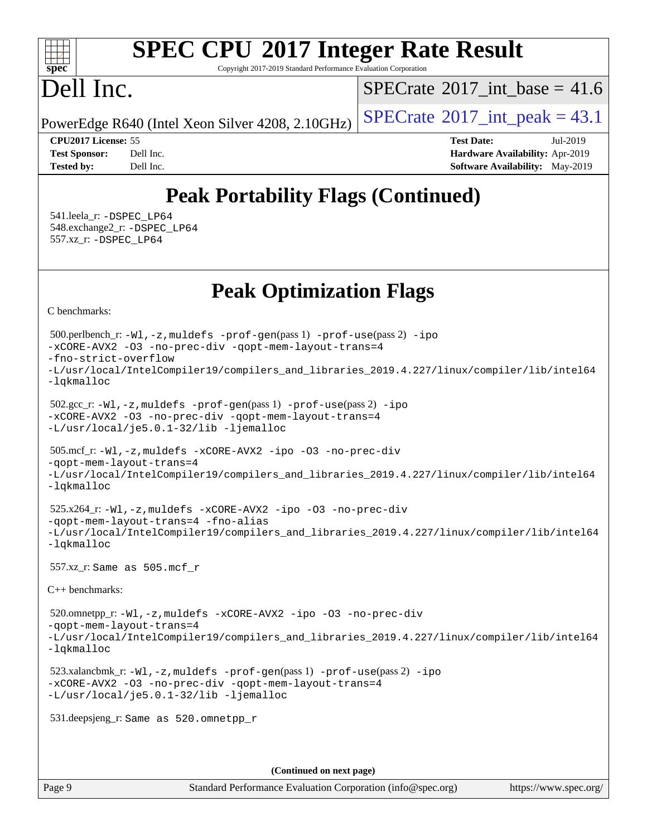### $+\ +$ **[spec](http://www.spec.org/)**

# **[SPEC CPU](http://www.spec.org/auto/cpu2017/Docs/result-fields.html#SPECCPU2017IntegerRateResult)[2017 Integer Rate Result](http://www.spec.org/auto/cpu2017/Docs/result-fields.html#SPECCPU2017IntegerRateResult)**

Copyright 2017-2019 Standard Performance Evaluation Corporation

## Dell Inc.

[SPECrate](http://www.spec.org/auto/cpu2017/Docs/result-fields.html#SPECrate2017intbase)®2017 int\_base = 41.6

PowerEdge R640 (Intel Xeon Silver 4208, 2.10GHz)  $\left|$  [SPECrate](http://www.spec.org/auto/cpu2017/Docs/result-fields.html#SPECrate2017intpeak)<sup>®</sup>[2017\\_int\\_peak =](http://www.spec.org/auto/cpu2017/Docs/result-fields.html#SPECrate2017intpeak) 43.1

**[CPU2017 License:](http://www.spec.org/auto/cpu2017/Docs/result-fields.html#CPU2017License)** 55 **[Test Date:](http://www.spec.org/auto/cpu2017/Docs/result-fields.html#TestDate)** Jul-2019 **[Test Sponsor:](http://www.spec.org/auto/cpu2017/Docs/result-fields.html#TestSponsor)** Dell Inc. **[Hardware Availability:](http://www.spec.org/auto/cpu2017/Docs/result-fields.html#HardwareAvailability)** Apr-2019 **[Tested by:](http://www.spec.org/auto/cpu2017/Docs/result-fields.html#Testedby)** Dell Inc. **[Software Availability:](http://www.spec.org/auto/cpu2017/Docs/result-fields.html#SoftwareAvailability)** May-2019

## **[Peak Portability Flags \(Continued\)](http://www.spec.org/auto/cpu2017/Docs/result-fields.html#PeakPortabilityFlags)**

 541.leela\_r: [-DSPEC\\_LP64](http://www.spec.org/cpu2017/results/res2019q3/cpu2017-20190831-17322.flags.html#suite_peakPORTABILITY541_leela_r_DSPEC_LP64) 548.exchange2\_r: [-DSPEC\\_LP64](http://www.spec.org/cpu2017/results/res2019q3/cpu2017-20190831-17322.flags.html#suite_peakPORTABILITY548_exchange2_r_DSPEC_LP64) 557.xz\_r: [-DSPEC\\_LP64](http://www.spec.org/cpu2017/results/res2019q3/cpu2017-20190831-17322.flags.html#suite_peakPORTABILITY557_xz_r_DSPEC_LP64)

## **[Peak Optimization Flags](http://www.spec.org/auto/cpu2017/Docs/result-fields.html#PeakOptimizationFlags)**

[C benchmarks](http://www.spec.org/auto/cpu2017/Docs/result-fields.html#Cbenchmarks):

Page 9 Standard Performance Evaluation Corporation [\(info@spec.org\)](mailto:info@spec.org) <https://www.spec.org/> 500.perlbench\_r: [-Wl,-z,muldefs](http://www.spec.org/cpu2017/results/res2019q3/cpu2017-20190831-17322.flags.html#user_peakEXTRA_LDFLAGS500_perlbench_r_link_force_multiple1_b4cbdb97b34bdee9ceefcfe54f4c8ea74255f0b02a4b23e853cdb0e18eb4525ac79b5a88067c842dd0ee6996c24547a27a4b99331201badda8798ef8a743f577) [-prof-gen](http://www.spec.org/cpu2017/results/res2019q3/cpu2017-20190831-17322.flags.html#user_peakPASS1_CFLAGSPASS1_LDFLAGS500_perlbench_r_prof_gen_5aa4926d6013ddb2a31985c654b3eb18169fc0c6952a63635c234f711e6e63dd76e94ad52365559451ec499a2cdb89e4dc58ba4c67ef54ca681ffbe1461d6b36)(pass 1) [-prof-use](http://www.spec.org/cpu2017/results/res2019q3/cpu2017-20190831-17322.flags.html#user_peakPASS2_CFLAGSPASS2_LDFLAGS500_perlbench_r_prof_use_1a21ceae95f36a2b53c25747139a6c16ca95bd9def2a207b4f0849963b97e94f5260e30a0c64f4bb623698870e679ca08317ef8150905d41bd88c6f78df73f19)(pass 2) [-ipo](http://www.spec.org/cpu2017/results/res2019q3/cpu2017-20190831-17322.flags.html#user_peakPASS1_COPTIMIZEPASS2_COPTIMIZE500_perlbench_r_f-ipo) [-xCORE-AVX2](http://www.spec.org/cpu2017/results/res2019q3/cpu2017-20190831-17322.flags.html#user_peakPASS2_COPTIMIZE500_perlbench_r_f-xCORE-AVX2) [-O3](http://www.spec.org/cpu2017/results/res2019q3/cpu2017-20190831-17322.flags.html#user_peakPASS1_COPTIMIZEPASS2_COPTIMIZE500_perlbench_r_f-O3) [-no-prec-div](http://www.spec.org/cpu2017/results/res2019q3/cpu2017-20190831-17322.flags.html#user_peakPASS1_COPTIMIZEPASS2_COPTIMIZE500_perlbench_r_f-no-prec-div) [-qopt-mem-layout-trans=4](http://www.spec.org/cpu2017/results/res2019q3/cpu2017-20190831-17322.flags.html#user_peakPASS1_COPTIMIZEPASS2_COPTIMIZE500_perlbench_r_f-qopt-mem-layout-trans_fa39e755916c150a61361b7846f310bcdf6f04e385ef281cadf3647acec3f0ae266d1a1d22d972a7087a248fd4e6ca390a3634700869573d231a252c784941a8) [-fno-strict-overflow](http://www.spec.org/cpu2017/results/res2019q3/cpu2017-20190831-17322.flags.html#user_peakEXTRA_OPTIMIZE500_perlbench_r_f-fno-strict-overflow) [-L/usr/local/IntelCompiler19/compilers\\_and\\_libraries\\_2019.4.227/linux/compiler/lib/intel64](http://www.spec.org/cpu2017/results/res2019q3/cpu2017-20190831-17322.flags.html#user_peakEXTRA_LIBS500_perlbench_r_qkmalloc_link_0ffe0cb02c68ef1b443a077c7888c10c67ca0d1dd7138472156f06a085bbad385f78d49618ad55dca9db3b1608e84afc2f69b4003b1d1ca498a9fc1462ccefda) [-lqkmalloc](http://www.spec.org/cpu2017/results/res2019q3/cpu2017-20190831-17322.flags.html#user_peakEXTRA_LIBS500_perlbench_r_qkmalloc_link_lib_79a818439969f771c6bc311cfd333c00fc099dad35c030f5aab9dda831713d2015205805422f83de8875488a2991c0a156aaa600e1f9138f8fc37004abc96dc5) 502.gcc\_r: [-Wl,-z,muldefs](http://www.spec.org/cpu2017/results/res2019q3/cpu2017-20190831-17322.flags.html#user_peakEXTRA_LDFLAGS502_gcc_r_link_force_multiple1_b4cbdb97b34bdee9ceefcfe54f4c8ea74255f0b02a4b23e853cdb0e18eb4525ac79b5a88067c842dd0ee6996c24547a27a4b99331201badda8798ef8a743f577) [-prof-gen](http://www.spec.org/cpu2017/results/res2019q3/cpu2017-20190831-17322.flags.html#user_peakPASS1_CFLAGSPASS1_LDFLAGS502_gcc_r_prof_gen_5aa4926d6013ddb2a31985c654b3eb18169fc0c6952a63635c234f711e6e63dd76e94ad52365559451ec499a2cdb89e4dc58ba4c67ef54ca681ffbe1461d6b36)(pass 1) [-prof-use](http://www.spec.org/cpu2017/results/res2019q3/cpu2017-20190831-17322.flags.html#user_peakPASS2_CFLAGSPASS2_LDFLAGS502_gcc_r_prof_use_1a21ceae95f36a2b53c25747139a6c16ca95bd9def2a207b4f0849963b97e94f5260e30a0c64f4bb623698870e679ca08317ef8150905d41bd88c6f78df73f19)(pass 2) [-ipo](http://www.spec.org/cpu2017/results/res2019q3/cpu2017-20190831-17322.flags.html#user_peakPASS1_COPTIMIZEPASS2_COPTIMIZE502_gcc_r_f-ipo) [-xCORE-AVX2](http://www.spec.org/cpu2017/results/res2019q3/cpu2017-20190831-17322.flags.html#user_peakPASS2_COPTIMIZE502_gcc_r_f-xCORE-AVX2) [-O3](http://www.spec.org/cpu2017/results/res2019q3/cpu2017-20190831-17322.flags.html#user_peakPASS1_COPTIMIZEPASS2_COPTIMIZE502_gcc_r_f-O3) [-no-prec-div](http://www.spec.org/cpu2017/results/res2019q3/cpu2017-20190831-17322.flags.html#user_peakPASS1_COPTIMIZEPASS2_COPTIMIZE502_gcc_r_f-no-prec-div) [-qopt-mem-layout-trans=4](http://www.spec.org/cpu2017/results/res2019q3/cpu2017-20190831-17322.flags.html#user_peakPASS1_COPTIMIZEPASS2_COPTIMIZE502_gcc_r_f-qopt-mem-layout-trans_fa39e755916c150a61361b7846f310bcdf6f04e385ef281cadf3647acec3f0ae266d1a1d22d972a7087a248fd4e6ca390a3634700869573d231a252c784941a8) [-L/usr/local/je5.0.1-32/lib](http://www.spec.org/cpu2017/results/res2019q3/cpu2017-20190831-17322.flags.html#user_peakEXTRA_LIBS502_gcc_r_jemalloc_link_path32_e29f22e8e6c17053bbc6a0971f5a9c01a601a06bb1a59df2084b77a2fe0a2995b64fd4256feaeea39eeba3aae142e96e2b2b0a28974019c0c0c88139a84f900a) [-ljemalloc](http://www.spec.org/cpu2017/results/res2019q3/cpu2017-20190831-17322.flags.html#user_peakEXTRA_LIBS502_gcc_r_jemalloc_link_lib_d1249b907c500fa1c0672f44f562e3d0f79738ae9e3c4a9c376d49f265a04b9c99b167ecedbf6711b3085be911c67ff61f150a17b3472be731631ba4d0471706) 505.mcf\_r: [-Wl,-z,muldefs](http://www.spec.org/cpu2017/results/res2019q3/cpu2017-20190831-17322.flags.html#user_peakEXTRA_LDFLAGS505_mcf_r_link_force_multiple1_b4cbdb97b34bdee9ceefcfe54f4c8ea74255f0b02a4b23e853cdb0e18eb4525ac79b5a88067c842dd0ee6996c24547a27a4b99331201badda8798ef8a743f577) [-xCORE-AVX2](http://www.spec.org/cpu2017/results/res2019q3/cpu2017-20190831-17322.flags.html#user_peakCOPTIMIZE505_mcf_r_f-xCORE-AVX2) [-ipo](http://www.spec.org/cpu2017/results/res2019q3/cpu2017-20190831-17322.flags.html#user_peakCOPTIMIZE505_mcf_r_f-ipo) [-O3](http://www.spec.org/cpu2017/results/res2019q3/cpu2017-20190831-17322.flags.html#user_peakCOPTIMIZE505_mcf_r_f-O3) [-no-prec-div](http://www.spec.org/cpu2017/results/res2019q3/cpu2017-20190831-17322.flags.html#user_peakCOPTIMIZE505_mcf_r_f-no-prec-div) [-qopt-mem-layout-trans=4](http://www.spec.org/cpu2017/results/res2019q3/cpu2017-20190831-17322.flags.html#user_peakCOPTIMIZE505_mcf_r_f-qopt-mem-layout-trans_fa39e755916c150a61361b7846f310bcdf6f04e385ef281cadf3647acec3f0ae266d1a1d22d972a7087a248fd4e6ca390a3634700869573d231a252c784941a8) [-L/usr/local/IntelCompiler19/compilers\\_and\\_libraries\\_2019.4.227/linux/compiler/lib/intel64](http://www.spec.org/cpu2017/results/res2019q3/cpu2017-20190831-17322.flags.html#user_peakEXTRA_LIBS505_mcf_r_qkmalloc_link_0ffe0cb02c68ef1b443a077c7888c10c67ca0d1dd7138472156f06a085bbad385f78d49618ad55dca9db3b1608e84afc2f69b4003b1d1ca498a9fc1462ccefda) [-lqkmalloc](http://www.spec.org/cpu2017/results/res2019q3/cpu2017-20190831-17322.flags.html#user_peakEXTRA_LIBS505_mcf_r_qkmalloc_link_lib_79a818439969f771c6bc311cfd333c00fc099dad35c030f5aab9dda831713d2015205805422f83de8875488a2991c0a156aaa600e1f9138f8fc37004abc96dc5) 525.x264\_r: [-Wl,-z,muldefs](http://www.spec.org/cpu2017/results/res2019q3/cpu2017-20190831-17322.flags.html#user_peakEXTRA_LDFLAGS525_x264_r_link_force_multiple1_b4cbdb97b34bdee9ceefcfe54f4c8ea74255f0b02a4b23e853cdb0e18eb4525ac79b5a88067c842dd0ee6996c24547a27a4b99331201badda8798ef8a743f577) [-xCORE-AVX2](http://www.spec.org/cpu2017/results/res2019q3/cpu2017-20190831-17322.flags.html#user_peakCOPTIMIZE525_x264_r_f-xCORE-AVX2) [-ipo](http://www.spec.org/cpu2017/results/res2019q3/cpu2017-20190831-17322.flags.html#user_peakCOPTIMIZE525_x264_r_f-ipo) [-O3](http://www.spec.org/cpu2017/results/res2019q3/cpu2017-20190831-17322.flags.html#user_peakCOPTIMIZE525_x264_r_f-O3) [-no-prec-div](http://www.spec.org/cpu2017/results/res2019q3/cpu2017-20190831-17322.flags.html#user_peakCOPTIMIZE525_x264_r_f-no-prec-div) [-qopt-mem-layout-trans=4](http://www.spec.org/cpu2017/results/res2019q3/cpu2017-20190831-17322.flags.html#user_peakCOPTIMIZE525_x264_r_f-qopt-mem-layout-trans_fa39e755916c150a61361b7846f310bcdf6f04e385ef281cadf3647acec3f0ae266d1a1d22d972a7087a248fd4e6ca390a3634700869573d231a252c784941a8) [-fno-alias](http://www.spec.org/cpu2017/results/res2019q3/cpu2017-20190831-17322.flags.html#user_peakEXTRA_OPTIMIZE525_x264_r_f-no-alias_77dbac10d91cbfe898fbf4a29d1b29b694089caa623bdd1baccc9957d4edbe8d106c0b357e2748a65b44fc9e83d78098bb898077f3fe92f9faf24f7bd4a07ed7) [-L/usr/local/IntelCompiler19/compilers\\_and\\_libraries\\_2019.4.227/linux/compiler/lib/intel64](http://www.spec.org/cpu2017/results/res2019q3/cpu2017-20190831-17322.flags.html#user_peakEXTRA_LIBS525_x264_r_qkmalloc_link_0ffe0cb02c68ef1b443a077c7888c10c67ca0d1dd7138472156f06a085bbad385f78d49618ad55dca9db3b1608e84afc2f69b4003b1d1ca498a9fc1462ccefda) [-lqkmalloc](http://www.spec.org/cpu2017/results/res2019q3/cpu2017-20190831-17322.flags.html#user_peakEXTRA_LIBS525_x264_r_qkmalloc_link_lib_79a818439969f771c6bc311cfd333c00fc099dad35c030f5aab9dda831713d2015205805422f83de8875488a2991c0a156aaa600e1f9138f8fc37004abc96dc5) 557.xz\_r: Same as 505.mcf\_r [C++ benchmarks:](http://www.spec.org/auto/cpu2017/Docs/result-fields.html#CXXbenchmarks) 520.omnetpp\_r: [-Wl,-z,muldefs](http://www.spec.org/cpu2017/results/res2019q3/cpu2017-20190831-17322.flags.html#user_peakEXTRA_LDFLAGS520_omnetpp_r_link_force_multiple1_b4cbdb97b34bdee9ceefcfe54f4c8ea74255f0b02a4b23e853cdb0e18eb4525ac79b5a88067c842dd0ee6996c24547a27a4b99331201badda8798ef8a743f577) [-xCORE-AVX2](http://www.spec.org/cpu2017/results/res2019q3/cpu2017-20190831-17322.flags.html#user_peakCXXOPTIMIZE520_omnetpp_r_f-xCORE-AVX2) [-ipo](http://www.spec.org/cpu2017/results/res2019q3/cpu2017-20190831-17322.flags.html#user_peakCXXOPTIMIZE520_omnetpp_r_f-ipo) [-O3](http://www.spec.org/cpu2017/results/res2019q3/cpu2017-20190831-17322.flags.html#user_peakCXXOPTIMIZE520_omnetpp_r_f-O3) [-no-prec-div](http://www.spec.org/cpu2017/results/res2019q3/cpu2017-20190831-17322.flags.html#user_peakCXXOPTIMIZE520_omnetpp_r_f-no-prec-div) [-qopt-mem-layout-trans=4](http://www.spec.org/cpu2017/results/res2019q3/cpu2017-20190831-17322.flags.html#user_peakCXXOPTIMIZE520_omnetpp_r_f-qopt-mem-layout-trans_fa39e755916c150a61361b7846f310bcdf6f04e385ef281cadf3647acec3f0ae266d1a1d22d972a7087a248fd4e6ca390a3634700869573d231a252c784941a8) [-L/usr/local/IntelCompiler19/compilers\\_and\\_libraries\\_2019.4.227/linux/compiler/lib/intel64](http://www.spec.org/cpu2017/results/res2019q3/cpu2017-20190831-17322.flags.html#user_peakEXTRA_LIBS520_omnetpp_r_qkmalloc_link_0ffe0cb02c68ef1b443a077c7888c10c67ca0d1dd7138472156f06a085bbad385f78d49618ad55dca9db3b1608e84afc2f69b4003b1d1ca498a9fc1462ccefda) [-lqkmalloc](http://www.spec.org/cpu2017/results/res2019q3/cpu2017-20190831-17322.flags.html#user_peakEXTRA_LIBS520_omnetpp_r_qkmalloc_link_lib_79a818439969f771c6bc311cfd333c00fc099dad35c030f5aab9dda831713d2015205805422f83de8875488a2991c0a156aaa600e1f9138f8fc37004abc96dc5) 523.xalancbmk\_r: [-Wl,-z,muldefs](http://www.spec.org/cpu2017/results/res2019q3/cpu2017-20190831-17322.flags.html#user_peakEXTRA_LDFLAGS523_xalancbmk_r_link_force_multiple1_b4cbdb97b34bdee9ceefcfe54f4c8ea74255f0b02a4b23e853cdb0e18eb4525ac79b5a88067c842dd0ee6996c24547a27a4b99331201badda8798ef8a743f577) [-prof-gen](http://www.spec.org/cpu2017/results/res2019q3/cpu2017-20190831-17322.flags.html#user_peakPASS1_CXXFLAGSPASS1_LDFLAGS523_xalancbmk_r_prof_gen_5aa4926d6013ddb2a31985c654b3eb18169fc0c6952a63635c234f711e6e63dd76e94ad52365559451ec499a2cdb89e4dc58ba4c67ef54ca681ffbe1461d6b36)(pass 1) [-prof-use](http://www.spec.org/cpu2017/results/res2019q3/cpu2017-20190831-17322.flags.html#user_peakPASS2_CXXFLAGSPASS2_LDFLAGS523_xalancbmk_r_prof_use_1a21ceae95f36a2b53c25747139a6c16ca95bd9def2a207b4f0849963b97e94f5260e30a0c64f4bb623698870e679ca08317ef8150905d41bd88c6f78df73f19)(pass 2) [-ipo](http://www.spec.org/cpu2017/results/res2019q3/cpu2017-20190831-17322.flags.html#user_peakPASS1_CXXOPTIMIZEPASS2_CXXOPTIMIZE523_xalancbmk_r_f-ipo) [-xCORE-AVX2](http://www.spec.org/cpu2017/results/res2019q3/cpu2017-20190831-17322.flags.html#user_peakPASS2_CXXOPTIMIZE523_xalancbmk_r_f-xCORE-AVX2) [-O3](http://www.spec.org/cpu2017/results/res2019q3/cpu2017-20190831-17322.flags.html#user_peakPASS1_CXXOPTIMIZEPASS2_CXXOPTIMIZE523_xalancbmk_r_f-O3) [-no-prec-div](http://www.spec.org/cpu2017/results/res2019q3/cpu2017-20190831-17322.flags.html#user_peakPASS1_CXXOPTIMIZEPASS2_CXXOPTIMIZE523_xalancbmk_r_f-no-prec-div) [-qopt-mem-layout-trans=4](http://www.spec.org/cpu2017/results/res2019q3/cpu2017-20190831-17322.flags.html#user_peakPASS1_CXXOPTIMIZEPASS2_CXXOPTIMIZE523_xalancbmk_r_f-qopt-mem-layout-trans_fa39e755916c150a61361b7846f310bcdf6f04e385ef281cadf3647acec3f0ae266d1a1d22d972a7087a248fd4e6ca390a3634700869573d231a252c784941a8) [-L/usr/local/je5.0.1-32/lib](http://www.spec.org/cpu2017/results/res2019q3/cpu2017-20190831-17322.flags.html#user_peakEXTRA_LIBS523_xalancbmk_r_jemalloc_link_path32_e29f22e8e6c17053bbc6a0971f5a9c01a601a06bb1a59df2084b77a2fe0a2995b64fd4256feaeea39eeba3aae142e96e2b2b0a28974019c0c0c88139a84f900a) [-ljemalloc](http://www.spec.org/cpu2017/results/res2019q3/cpu2017-20190831-17322.flags.html#user_peakEXTRA_LIBS523_xalancbmk_r_jemalloc_link_lib_d1249b907c500fa1c0672f44f562e3d0f79738ae9e3c4a9c376d49f265a04b9c99b167ecedbf6711b3085be911c67ff61f150a17b3472be731631ba4d0471706) 531.deepsjeng\_r: Same as 520.omnetpp\_r **(Continued on next page)**